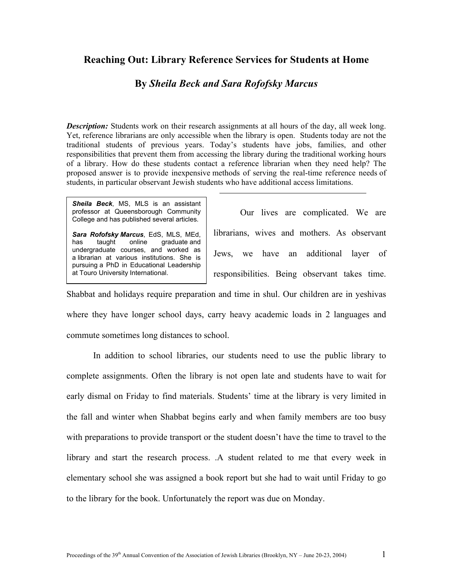## **Reaching Out: Library Reference Services for Students at Home**

## **By** *Sheila Beck and Sara Rofofsky Marcus*

*Description:* Students work on their research assignments at all hours of the day, all week long. Yet, reference librarians are only accessible when the library is open. Students today are not the traditional students of previous years. Today's students have jobs, families, and other responsibilities that prevent them from accessing the library during the traditional working hours of a library. How do these students contact a reference librarian when they need help? The proposed answer is to provide inexpensive methods of serving the real-time reference needs of students, in particular observant Jewish students who have additional access limitations.

*Sheila Beck*, MS, MLS is an assistant professor at Queensborough Community College and has published several articles.

*Sara Rofofsky Marcus*, EdS, MLS, MEd, has taught online graduate and undergraduate courses, and worked as a librarian at various institutions. She is pursuing a PhD in Educational Leadership at Touro University International.

Our lives are complicated. We are librarians, wives and mothers. As observant Jews, we have an additional layer of responsibilities. Being observant takes time.

Shabbat and holidays require preparation and time in shul. Our children are in yeshivas where they have longer school days, carry heavy academic loads in 2 languages and commute sometimes long distances to school.

In addition to school libraries, our students need to use the public library to complete assignments. Often the library is not open late and students have to wait for early dismal on Friday to find materials. Students' time at the library is very limited in the fall and winter when Shabbat begins early and when family members are too busy with preparations to provide transport or the student doesn't have the time to travel to the library and start the research process. .A student related to me that every week in elementary school she was assigned a book report but she had to wait until Friday to go to the library for the book. Unfortunately the report was due on Monday.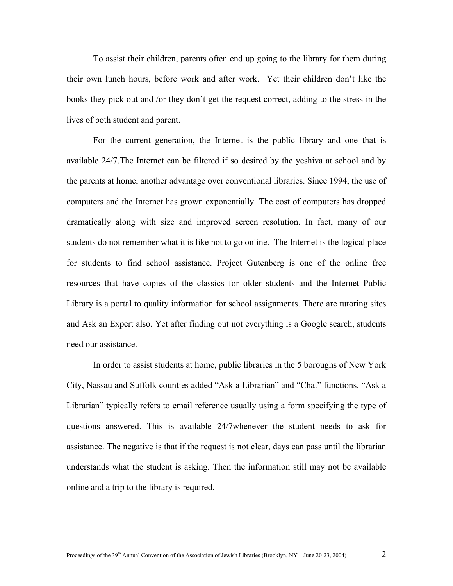To assist their children, parents often end up going to the library for them during their own lunch hours, before work and after work. Yet their children don't like the books they pick out and /or they don't get the request correct, adding to the stress in the lives of both student and parent.

For the current generation, the Internet is the public library and one that is available 24/7.The Internet can be filtered if so desired by the yeshiva at school and by the parents at home, another advantage over conventional libraries. Since 1994, the use of computers and the Internet has grown exponentially. The cost of computers has dropped dramatically along with size and improved screen resolution. In fact, many of our students do not remember what it is like not to go online. The Internet is the logical place for students to find school assistance. Project Gutenberg is one of the online free resources that have copies of the classics for older students and the Internet Public Library is a portal to quality information for school assignments. There are tutoring sites and Ask an Expert also. Yet after finding out not everything is a Google search, students need our assistance.

In order to assist students at home, public libraries in the 5 boroughs of New York City, Nassau and Suffolk counties added "Ask a Librarian" and "Chat" functions. "Ask a Librarian" typically refers to email reference usually using a form specifying the type of questions answered. This is available 24/7whenever the student needs to ask for assistance. The negative is that if the request is not clear, days can pass until the librarian understands what the student is asking. Then the information still may not be available online and a trip to the library is required.